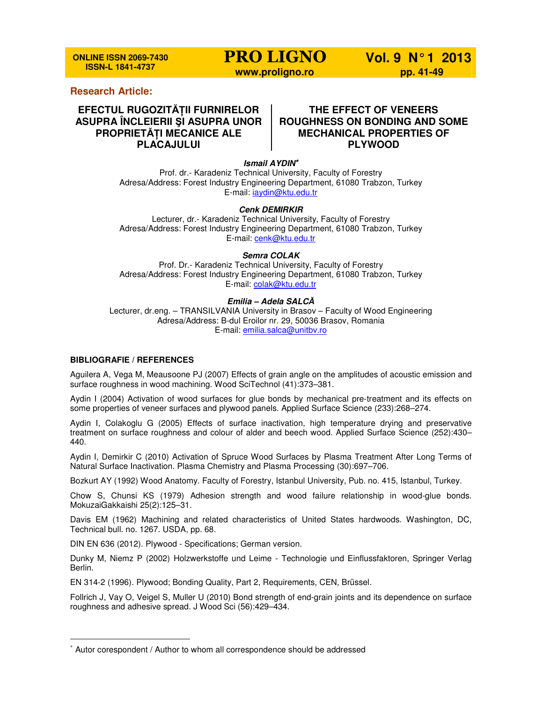**ONLINE ISSN 2069-7430 ISSN-L 1841-4737** 

**PRO LIGNO Vol. 9 N° 1 2013 www.proligno.ro by pp. 41-49** 

## **Research Article:**

# **EFECTUL RUGOZITĂłII FURNIRELOR ASUPRA ÎNCLEIERII ŞI ASUPRA UNOR PROPRIETĂłI MECANICE ALE PLACAJULUI**

## **THE EFFECT OF VENEERS ROUGHNESS ON BONDING AND SOME MECHANICAL PROPERTIES OF PLYWOOD**

**Ismail AYDIN**<sup>∗</sup>

Prof. dr.- Karadeniz Technical University, Faculty of Forestry Adresa/Address: Forest Industry Engineering Department, 61080 Trabzon, Turkey E-mail: iaydin@ktu.edu.tr

### **Cenk DEMIRKIR**

Lecturer, dr.- Karadeniz Technical University, Faculty of Forestry Adresa/Address: Forest Industry Engineering Department, 61080 Trabzon, Turkey E-mail: cenk@ktu.edu.tr

### **Semra COLAK**

Prof. Dr.- Karadeniz Technical University, Faculty of Forestry Adresa/Address: Forest Industry Engineering Department, 61080 Trabzon, Turkey E-mail: colak@ktu.edu.tr

### **Emilia – Adela SALC***Ă*

Lecturer, dr.eng. – TRANSILVANIA University in Brasov – Faculty of Wood Engineering Adresa/Address: B-dul Eroilor nr. 29, 50036 Brasov, Romania E-mail: emilia.salca@unitbv.ro

### **BIBLIOGRAFIE / REFERENCES**

l

Aguilera A, Vega M, Meausoone PJ (2007) Effects of grain angle on the amplitudes of acoustic emission and surface roughness in wood machining. Wood SciTechnol (41):373–381.

Aydin I (2004) Activation of wood surfaces for glue bonds by mechanical pre-treatment and its effects on some properties of veneer surfaces and plywood panels. Applied Surface Science (233):268–274.

Aydin I, Colakoglu G (2005) Effects of surface inactivation, high temperature drying and preservative treatment on surface roughness and colour of alder and beech wood. Applied Surface Science (252):430– 440.

Aydin I, Demirkir C (2010) Activation of Spruce Wood Surfaces by Plasma Treatment After Long Terms of Natural Surface Inactivation. Plasma Chemistry and Plasma Processing (30):697–706.

Bozkurt AY (1992) Wood Anatomy. Faculty of Forestry, Istanbul University, Pub. no. 415, Istanbul, Turkey.

Chow S, Chunsi KS (1979) Adhesion strength and wood failure relationship in wood-glue bonds. MokuzaiGakkaishi 25(2):125–31.

Davis EM (1962) Machining and related characteristics of United States hardwoods. Washington, DC, Technical bull. no. 1267. USDA, pp. 68.

DIN EN 636 (2012). Plywood - Specifications; German version.

Dunky M, Niemz P (2002) Holzwerkstoffe und Leime - Technologie und Einflussfaktoren, Springer Verlag Berlin.

EN 314-2 (1996). Plywood; Bonding Quality, Part 2, Requirements, CEN, Brüssel.

Follrich J, Vay O, Veigel S, Muller U (2010) Bond strength of end-grain joints and its dependence on surface roughness and adhesive spread. J Wood Sci (56):429–434.

<sup>∗</sup> Autor corespondent / Author to whom all correspondence should be addressed